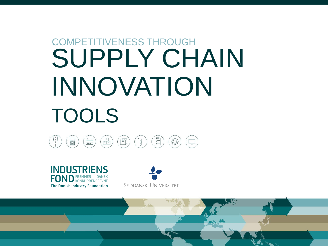# SUPPLY CHAIN INNOVATION TOOLS COMPETITIVENESS THROUGH





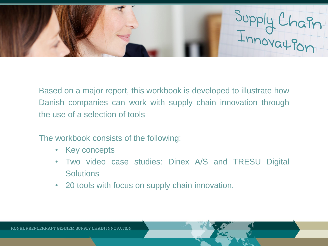

Based on a major report, this workbook is developed to illustrate how Danish companies can work with supply chain innovation through the use of a selection of tools

The workbook consists of the following:

- Key concepts
- Two video case studies: Dinex A/S and TRESU Digital **Solutions**
- 20 tools with focus on supply chain innovation.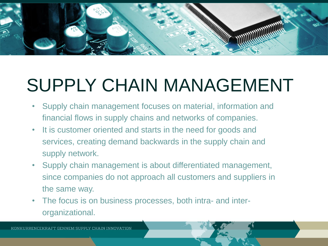

# SUPPLY CHAIN MANAGEMENT

- Supply chain management focuses on material, information and financial flows in supply chains and networks of companies.
- It is customer oriented and starts in the need for goods and services, creating demand backwards in the supply chain and supply network.
- Supply chain management is about differentiated management, since companies do not approach all customers and suppliers in the same way.
- The focus is on business processes, both intra- and interorganizational.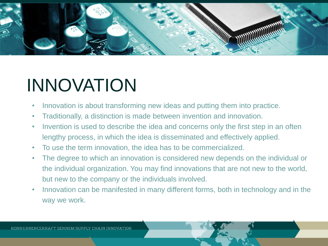

## INNOVATION

- Innovation is about transforming new ideas and putting them into practice.
- Traditionally, a distinction is made between invention and innovation.
- Invention is used to describe the idea and concerns only the first step in an often lengthy process, in which the idea is disseminated and effectively applied.
- To use the term innovation, the idea has to be commercialized.
- The degree to which an innovation is considered new depends on the individual or the individual organization. You may find innovations that are not new to the world, but new to the company or the individuals involved.
- Innovation can be manifested in many different forms, both in technology and in the way we work.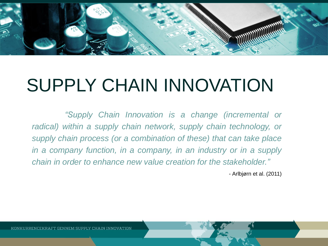

#### SUPPLY CHAIN INNOVATION

*"Supply Chain Innovation is a change (incremental or radical) within a supply chain network, supply chain technology, or supply chain process (or a combination of these) that can take place in a company function, in a company, in an industry or in a supply chain in order to enhance new value creation for the stakeholder."*

*-* Arlbjørn et al. (2011)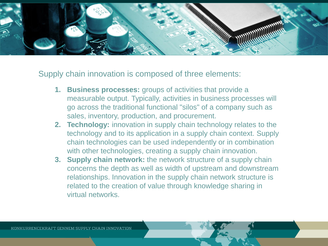

Supply chain innovation is composed of three elements:

- **1. Business processes:** groups of activities that provide a measurable output. Typically, activities in business processes will go across the traditional functional "silos" of a company such as sales, inventory, production, and procurement.
- **2. Technology:** innovation in supply chain technology relates to the technology and to its application in a supply chain context. Supply chain technologies can be used independently or in combination with other technologies, creating a supply chain innovation.
- **3. Supply chain network:** the network structure of a supply chain concerns the depth as well as width of upstream and downstream relationships. Innovation in the supply chain network structure is related to the creation of value through knowledge sharing in virtual networks.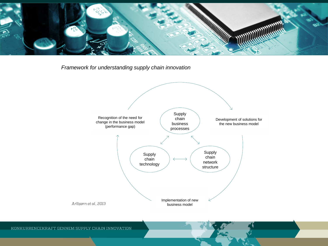

*Framework for understanding supply chain innovation* 

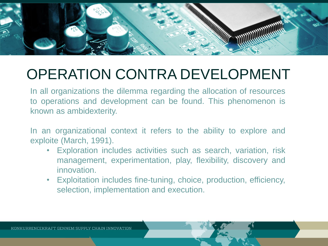

#### OPERATION CONTRA DEVELOPMENT

In all organizations the dilemma regarding the allocation of resources to operations and development can be found. This phenomenon is known as ambidexterity.

In an organizational context it refers to the ability to explore and exploite (March, 1991).

- Exploration includes activities such as search, variation, risk management, experimentation, play, flexibility, discovery and innovation.
- Exploitation includes fine-tuning, choice, production, efficiency, selection, implementation and execution.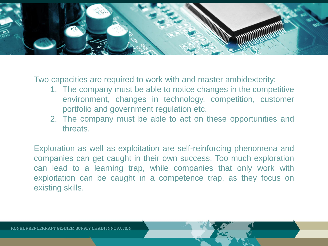

Two capacities are required to work with and master ambidexterity:

- 1. The company must be able to notice changes in the competitive environment, changes in technology, competition, customer portfolio and government regulation etc.
- 2. The company must be able to act on these opportunities and threats.

Exploration as well as exploitation are self-reinforcing phenomena and companies can get caught in their own success. Too much exploration can lead to a learning trap, while companies that only work with exploitation can be caught in a competence trap, as they focus on existing skills.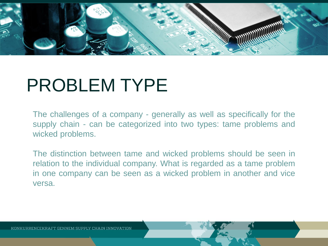

#### PROBLEM TYPE

The challenges of a company - generally as well as specifically for the supply chain - can be categorized into two types: tame problems and wicked problems.

The distinction between tame and wicked problems should be seen in relation to the individual company. What is regarded as a tame problem in one company can be seen as a wicked problem in another and vice versa.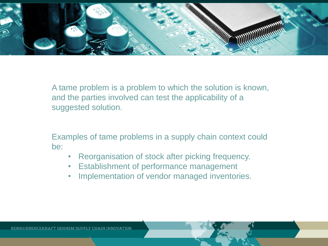

A tame problem is a problem to which the solution is known, and the parties involved can test the applicability of a suggested solution.

Examples of tame problems in a supply chain context could be:

- Reorganisation of stock after picking frequency.
- Establishment of performance management
- Implementation of vendor managed inventories.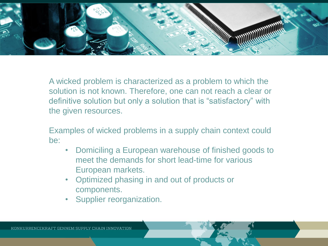

A wicked problem is characterized as a problem to which the solution is not known. Therefore, one can not reach a clear or definitive solution but only a solution that is "satisfactory" with the given resources.

Examples of wicked problems in a supply chain context could be:

- Domiciling a European warehouse of finished goods to meet the demands for short lead-time for various European markets.
- Optimized phasing in and out of products or components.
- Supplier reorganization.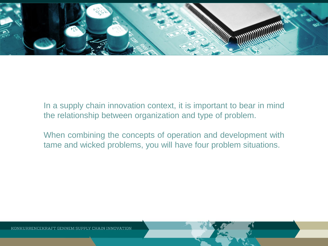

In a supply chain innovation context, it is important to bear in mind the relationship between organization and type of problem.

When combining the concepts of operation and development with tame and wicked problems, you will have four problem situations.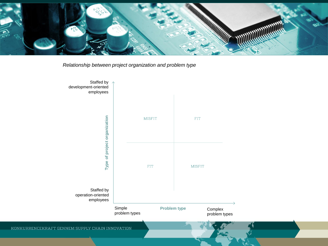

*Relationship between project organization and problem type* 

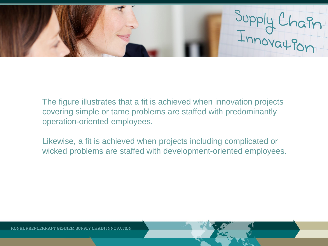Supply Chain<br>Innovation

The figure illustrates that a fit is achieved when innovation projects covering simple or tame problems are staffed with predominantly operation-oriented employees.

Likewise, a fit is achieved when projects including complicated or wicked problems are staffed with development-oriented employees.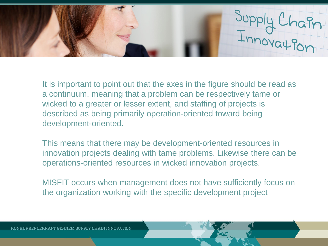

It is important to point out that the axes in the figure should be read as a continuum, meaning that a problem can be respectively tame or wicked to a greater or lesser extent, and staffing of projects is described as being primarily operation-oriented toward being development-oriented.

This means that there may be development-oriented resources in innovation projects dealing with tame problems. Likewise there can be operations-oriented resources in wicked innovation projects.

MISFIT occurs when management does not have sufficiently focus on the organization working with the specific development project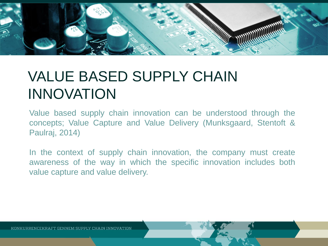

#### VALUE BASED SUPPLY CHAIN INNOVATION

Value based supply chain innovation can be understood through the concepts; Value Capture and Value Delivery (Munksgaard, Stentoft & Paulraj, 2014)

In the context of supply chain innovation, the company must create awareness of the way in which the specific innovation includes both value capture and value delivery.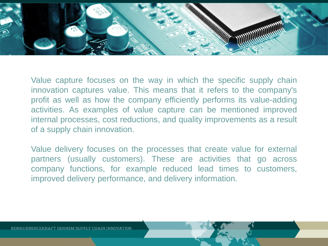

Value capture focuses on the way in which the specific supply chain innovation captures value. This means that it refers to the company's profit as well as how the company efficiently performs its value-adding activities. As examples of value capture can be mentioned improved internal processes, cost reductions, and quality improvements as a result of a supply chain innovation.

Value delivery focuses on the processes that create value for external partners (usually customers). These are activities that go across company functions, for example reduced lead times to customers, improved delivery performance, and delivery information.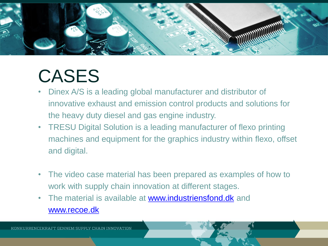

#### CASES

- Dinex A/S is a leading global manufacturer and distributor of innovative exhaust and emission control products and solutions for the heavy duty diesel and gas engine industry.
- TRESU Digital Solution is a leading manufacturer of flexo printing machines and equipment for the graphics industry within flexo, offset and digital.
- The video case material has been prepared as examples of how to work with supply chain innovation at different stages.
- The material is available at [www.industriensfond.dk](http://www.industriensfond.dk/) and [www.recoe.dk](http://www.recoe.dk/)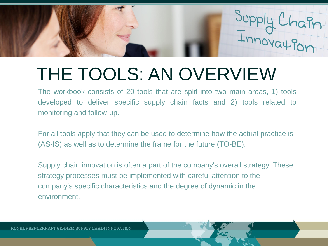

## THE TOOLS: AN OVERVIEW

The workbook consists of 20 tools that are split into two main areas, 1) tools developed to deliver specific supply chain facts and 2) tools related to monitoring and follow-up.

For all tools apply that they can be used to determine how the actual practice is (AS-IS) as well as to determine the frame for the future (TO-BE).

Supply chain innovation is often a part of the company's overall strategy. These strategy processes must be implemented with careful attention to the company's specific characteristics and the degree of dynamic in the environment.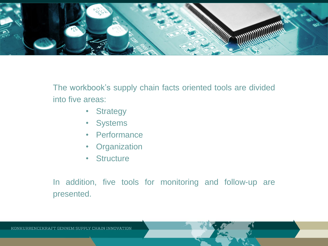

The workbook's supply chain facts oriented tools are divided into five areas:

- Strategy
- Systems
- Performance
- Organization
- Structure

In addition, five tools for monitoring and follow-up are presented.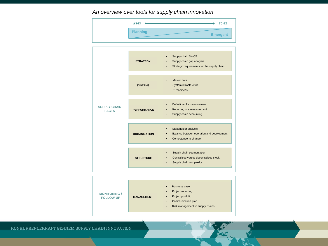#### *An overview over tools for supply chain innovation*

| AS-IS           | TO-BE           |
|-----------------|-----------------|
| <b>Planning</b> | <b>Emergent</b> |

|                                     | <b>STRATEGY</b>     | Supply chain SWOT<br>Supply chain gap analysis<br>Strategic requirements for the supply chain<br>٠          |
|-------------------------------------|---------------------|-------------------------------------------------------------------------------------------------------------|
|                                     |                     |                                                                                                             |
|                                     | <b>SYSTEMS</b>      | Master data<br>$\bullet$<br>System infrastructure<br>٠<br><b>IT readiness</b><br>$\bullet$                  |
|                                     |                     |                                                                                                             |
| <b>SUPPLY CHAIN</b><br><b>FACTS</b> | <b>PERFORMANCE</b>  | Definition of a measurement<br>$\bullet$<br>Reporting of a measurement<br>٠<br>Supply chain accounting<br>٠ |
|                                     |                     |                                                                                                             |
|                                     | <b>ORGANIZATION</b> | Stakeholder analysis<br>Balance between operation and development<br>Competence to change                   |
|                                     |                     |                                                                                                             |
|                                     | <b>STRUCTURE</b>    | Supply chain segmentation<br>Centralised versus decentralised stock<br>Supply chain complexity<br>$\bullet$ |



KONKURRENCEKRAFT GENNEM SUPPLY CHAIN INNOVATION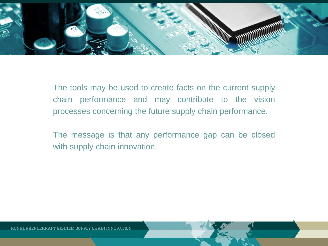

The tools may be used to create facts on the current supply chain performance and may contribute to the vision processes concerning the future supply chain performance.

The message is that any performance gap can be closed with supply chain innovation.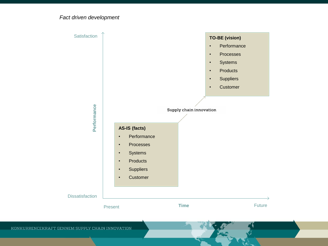